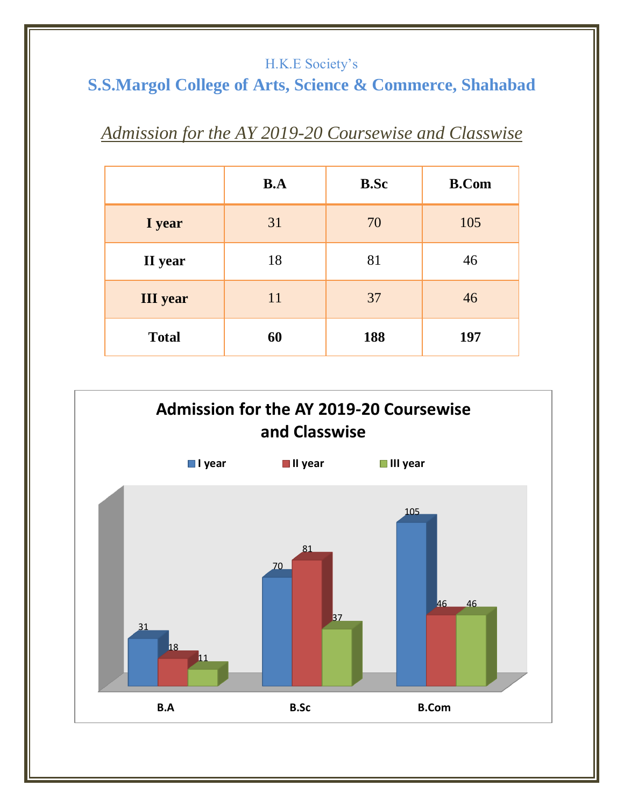#### H.K.E Society's

# **S.S.Margol College of Arts, Science & Commerce, Shahabad**

## *Admission for the AY 2019-20 Coursewise and Classwise*

|                 | B.A | <b>B.Sc</b> | <b>B.Com</b> |
|-----------------|-----|-------------|--------------|
| I year          | 31  | 70          | 105          |
| II year         | 18  | 81          | 46           |
| <b>III</b> year | 11  | 37          | 46           |
| <b>Total</b>    | 60  | 188         | 197          |

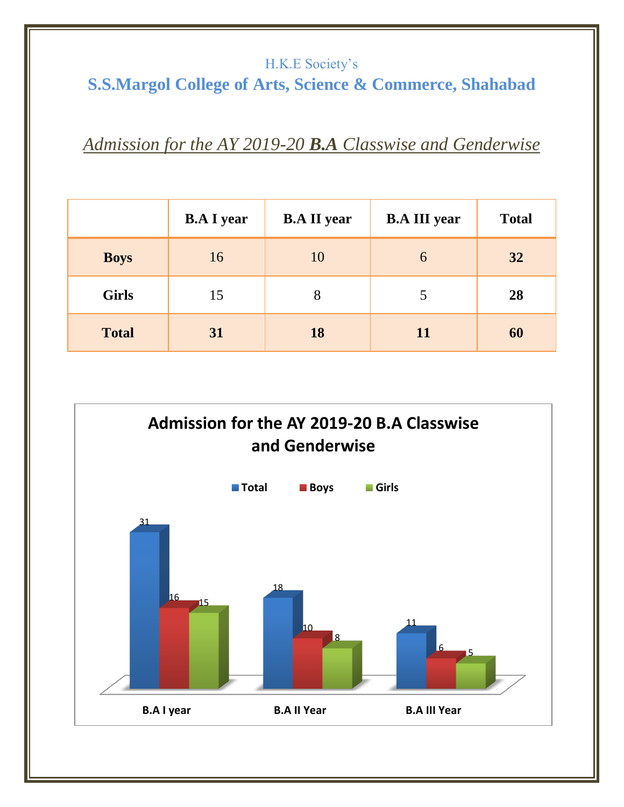#### H.K.E Society's

# **S.S.Margol College of Arts, Science & Commerce, Shahabad**

### *Admission for the AY 2019-20 B.A Classwise and Genderwise*

|              | <b>B.A I year</b> | <b>B.A II year</b> | <b>B.A III year</b> | <b>Total</b> |
|--------------|-------------------|--------------------|---------------------|--------------|
| <b>Boys</b>  | 16                | 10                 | 6                   | 32           |
| <b>Girls</b> | 15                | 8                  | 5                   | 28           |
| <b>Total</b> | 31                | 18                 | 11                  | 60           |

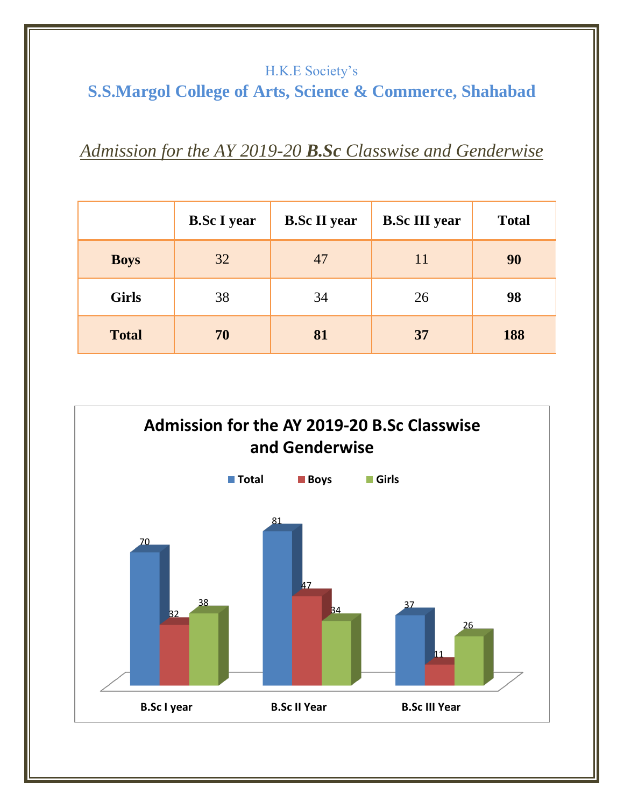### H.K.E Society's **S.S.Margol College of Arts, Science & Commerce, Shahabad**

## *Admission for the AY 2019-20 B.Sc Classwise and Genderwise*

|              | <b>B.Sc I year</b> | <b>B.Sc II year</b> | <b>B.Sc III year</b> | <b>Total</b> |
|--------------|--------------------|---------------------|----------------------|--------------|
| <b>Boys</b>  | 32                 | 47                  | 11                   | 90           |
| <b>Girls</b> | 38                 | 34                  | 26                   | 98           |
| <b>Total</b> | 70                 | 81                  | 37                   | 188          |